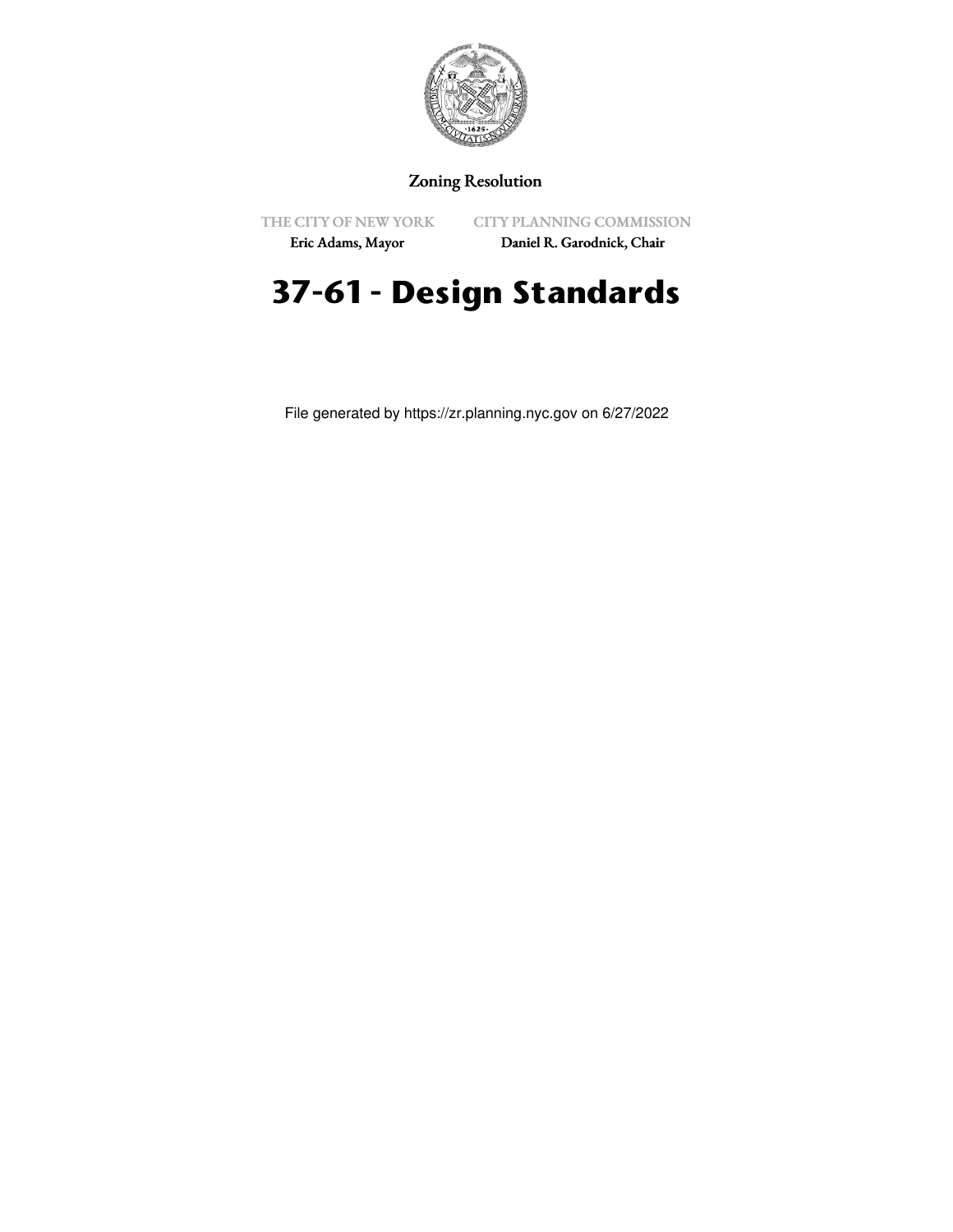

## Zoning Resolution

THE CITY OF NEW YORK

CITY PLANNING COMMISSION

Eric Adams, Mayor

Daniel R. Garodnick, Chair

## **37-61 - Design Standards**

File generated by https://zr.planning.nyc.gov on 6/27/2022